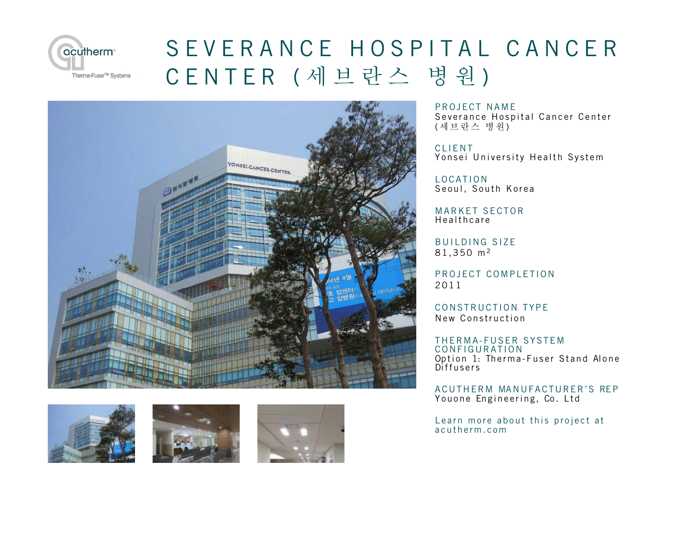

## SEVERANCE HOSPITAL CANCER CENTER (세브란스 병원)









PROJECT NAME

Severance Hospital Cancer Center (세브란스 병원)

**CLIFNT** Yonsei University Health System

LOCATION Seoul, South Korea

MARKET SECTOR Healthcare

**BUILDING SIZE** 81,350 m<sup>2</sup>

PROJECT COMPLETION 2011

CONSTRUCTION TYPE New Construction

THERMA-FUSER SYSTEM CONFIGURATION Option 1: Therma-Fuser Stand Alone Diffusers

ACUTHERM MANUFACTURER'S REP Youone Engineering, Co. Ltd

Learn more about this project at acutherm.com